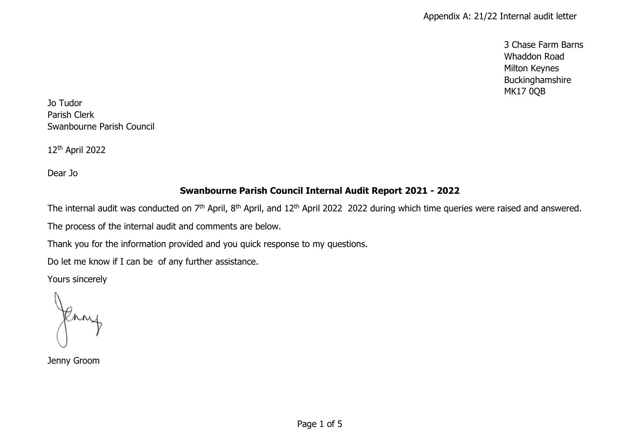3 Chase Farm Barns Whaddon Road Milton Keynes Buckinghamshire MK17 0QB

Jo Tudor Parish Clerk Swanbourne Parish Council

12th April 2022

Dear Jo

## **Swanbourne Parish Council Internal Audit Report 2021 - 2022**

The internal audit was conducted on 7<sup>th</sup> April, 8<sup>th</sup> April, and 12<sup>th</sup> April 2022 2022 during which time queries were raised and answered.

The process of the internal audit and comments are below.

Thank you for the information provided and you quick response to my questions.

Do let me know if I can be of any further assistance.

Yours sincerely

Jenny Groom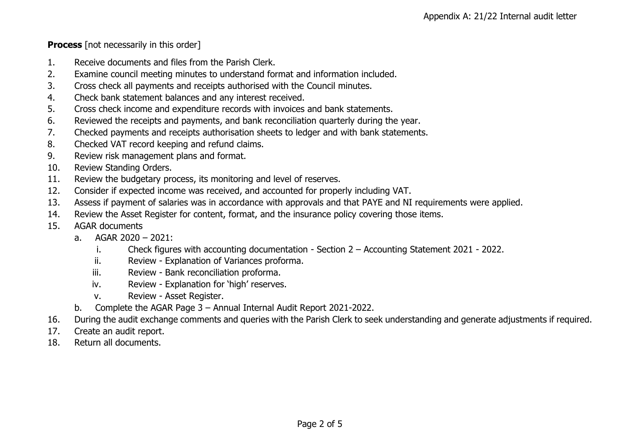**Process** [not necessarily in this order]

- 1. Receive documents and files from the Parish Clerk.
- 2. Examine council meeting minutes to understand format and information included.
- 3. Cross check all payments and receipts authorised with the Council minutes.
- 4. Check bank statement balances and any interest received.
- 5. Cross check income and expenditure records with invoices and bank statements.
- 6. Reviewed the receipts and payments, and bank reconciliation quarterly during the year.
- 7. Checked payments and receipts authorisation sheets to ledger and with bank statements.
- 8. Checked VAT record keeping and refund claims.
- 9. Review risk management plans and format.
- 10. Review Standing Orders.
- 11. Review the budgetary process, its monitoring and level of reserves.
- 12. Consider if expected income was received, and accounted for properly including VAT.
- 13. Assess if payment of salaries was in accordance with approvals and that PAYE and NI requirements were applied.
- 14. Review the Asset Register for content, format, and the insurance policy covering those items.
- 15. AGAR documents
	- a. AGAR 2020 2021:
		- i. Check figures with accounting documentation Section 2 Accounting Statement 2021 2022.
		- ii. Review Explanation of Variances proforma.
		- iii. Review Bank reconciliation proforma.
		- iv. Review Explanation for 'high' reserves.
		- v. Review Asset Register.
	- b. Complete the AGAR Page 3 Annual Internal Audit Report 2021-2022.
- 16. During the audit exchange comments and queries with the Parish Clerk to seek understanding and generate adjustments if required.
- 17. Create an audit report.
- 18. Return all documents.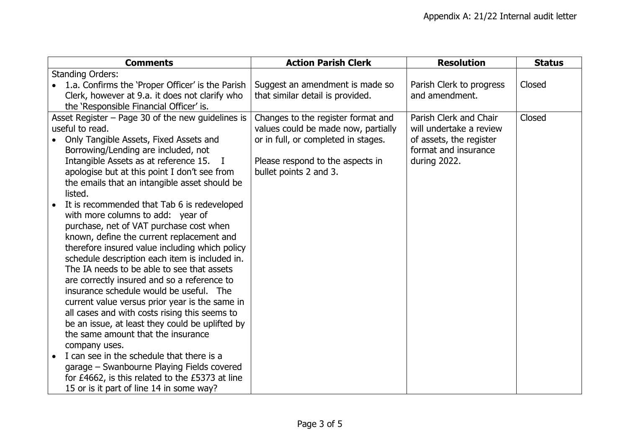|                                                     | <b>Comments</b>                                                                                                                                                                                                                                                                                                                                   | <b>Action Parish Clerk</b>          | <b>Resolution</b>        | <b>Status</b> |
|-----------------------------------------------------|---------------------------------------------------------------------------------------------------------------------------------------------------------------------------------------------------------------------------------------------------------------------------------------------------------------------------------------------------|-------------------------------------|--------------------------|---------------|
|                                                     | <b>Standing Orders:</b>                                                                                                                                                                                                                                                                                                                           |                                     |                          |               |
|                                                     | 1.a. Confirms the 'Proper Officer' is the Parish                                                                                                                                                                                                                                                                                                  | Suggest an amendment is made so     | Parish Clerk to progress | Closed        |
|                                                     | Clerk, however at 9.a. it does not clarify who                                                                                                                                                                                                                                                                                                    | that similar detail is provided.    | and amendment.           |               |
|                                                     | the 'Responsible Financial Officer' is.                                                                                                                                                                                                                                                                                                           |                                     |                          |               |
| Asset Register $-$ Page 30 of the new guidelines is |                                                                                                                                                                                                                                                                                                                                                   | Changes to the register format and  | Parish Clerk and Chair   | Closed        |
| useful to read.                                     |                                                                                                                                                                                                                                                                                                                                                   | values could be made now, partially | will undertake a review  |               |
|                                                     | Only Tangible Assets, Fixed Assets and                                                                                                                                                                                                                                                                                                            | or in full, or completed in stages. | of assets, the register  |               |
|                                                     | Borrowing/Lending are included, not                                                                                                                                                                                                                                                                                                               |                                     | format and insurance     |               |
|                                                     | Intangible Assets as at reference 15.                                                                                                                                                                                                                                                                                                             | Please respond to the aspects in    | during 2022.             |               |
|                                                     | apologise but at this point I don't see from                                                                                                                                                                                                                                                                                                      | bullet points 2 and 3.              |                          |               |
|                                                     | the emails that an intangible asset should be                                                                                                                                                                                                                                                                                                     |                                     |                          |               |
|                                                     | listed.                                                                                                                                                                                                                                                                                                                                           |                                     |                          |               |
|                                                     | It is recommended that Tab 6 is redeveloped                                                                                                                                                                                                                                                                                                       |                                     |                          |               |
|                                                     | with more columns to add: year of                                                                                                                                                                                                                                                                                                                 |                                     |                          |               |
|                                                     | purchase, net of VAT purchase cost when                                                                                                                                                                                                                                                                                                           |                                     |                          |               |
|                                                     | known, define the current replacement and                                                                                                                                                                                                                                                                                                         |                                     |                          |               |
|                                                     | therefore insured value including which policy                                                                                                                                                                                                                                                                                                    |                                     |                          |               |
|                                                     | schedule description each item is included in.                                                                                                                                                                                                                                                                                                    |                                     |                          |               |
|                                                     | The IA needs to be able to see that assets                                                                                                                                                                                                                                                                                                        |                                     |                          |               |
|                                                     | are correctly insured and so a reference to                                                                                                                                                                                                                                                                                                       |                                     |                          |               |
|                                                     | insurance schedule would be useful. The                                                                                                                                                                                                                                                                                                           |                                     |                          |               |
|                                                     | current value versus prior year is the same in                                                                                                                                                                                                                                                                                                    |                                     |                          |               |
|                                                     |                                                                                                                                                                                                                                                                                                                                                   |                                     |                          |               |
|                                                     |                                                                                                                                                                                                                                                                                                                                                   |                                     |                          |               |
|                                                     |                                                                                                                                                                                                                                                                                                                                                   |                                     |                          |               |
|                                                     |                                                                                                                                                                                                                                                                                                                                                   |                                     |                          |               |
|                                                     |                                                                                                                                                                                                                                                                                                                                                   |                                     |                          |               |
|                                                     |                                                                                                                                                                                                                                                                                                                                                   |                                     |                          |               |
|                                                     |                                                                                                                                                                                                                                                                                                                                                   |                                     |                          |               |
|                                                     | all cases and with costs rising this seems to<br>be an issue, at least they could be uplifted by<br>the same amount that the insurance<br>company uses.<br>I can see in the schedule that there is a<br>garage – Swanbourne Playing Fields covered<br>for £4662, is this related to the £5373 at line<br>15 or is it part of line 14 in some way? |                                     |                          |               |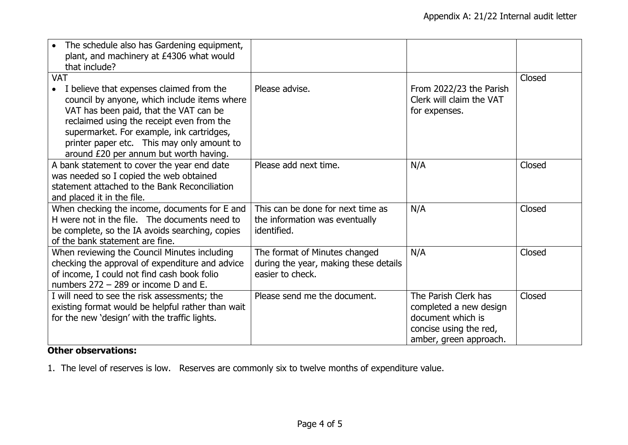| The schedule also has Gardening equipment,<br>plant, and machinery at £4306 what would<br>that include?                                                                                                                                                                                                                           |                                                                                            |                                                                                                                         |        |
|-----------------------------------------------------------------------------------------------------------------------------------------------------------------------------------------------------------------------------------------------------------------------------------------------------------------------------------|--------------------------------------------------------------------------------------------|-------------------------------------------------------------------------------------------------------------------------|--------|
| <b>VAT</b>                                                                                                                                                                                                                                                                                                                        |                                                                                            |                                                                                                                         | Closed |
| I believe that expenses claimed from the<br>$\bullet$<br>council by anyone, which include items where<br>VAT has been paid, that the VAT can be<br>reclaimed using the receipt even from the<br>supermarket. For example, ink cartridges,<br>printer paper etc. This may only amount to<br>around £20 per annum but worth having. | Please advise.                                                                             | From 2022/23 the Parish<br>Clerk will claim the VAT<br>for expenses.                                                    |        |
| A bank statement to cover the year end date                                                                                                                                                                                                                                                                                       | Please add next time.                                                                      | N/A                                                                                                                     | Closed |
| was needed so I copied the web obtained                                                                                                                                                                                                                                                                                           |                                                                                            |                                                                                                                         |        |
| statement attached to the Bank Reconciliation                                                                                                                                                                                                                                                                                     |                                                                                            |                                                                                                                         |        |
| and placed it in the file.                                                                                                                                                                                                                                                                                                        |                                                                                            |                                                                                                                         |        |
| When checking the income, documents for E and<br>H were not in the file. The documents need to<br>be complete, so the IA avoids searching, copies<br>of the bank statement are fine.                                                                                                                                              | This can be done for next time as<br>the information was eventually<br>identified.         | N/A                                                                                                                     | Closed |
| When reviewing the Council Minutes including<br>checking the approval of expenditure and advice<br>of income, I could not find cash book folio<br>numbers 272 - 289 or income D and E.                                                                                                                                            | The format of Minutes changed<br>during the year, making these details<br>easier to check. | N/A                                                                                                                     | Closed |
| I will need to see the risk assessments; the<br>existing format would be helpful rather than wait<br>for the new 'design' with the traffic lights.                                                                                                                                                                                | Please send me the document.                                                               | The Parish Clerk has<br>completed a new design<br>document which is<br>concise using the red,<br>amber, green approach. | Closed |

## **Other observations:**

1. The level of reserves is low. Reserves are commonly six to twelve months of expenditure value.